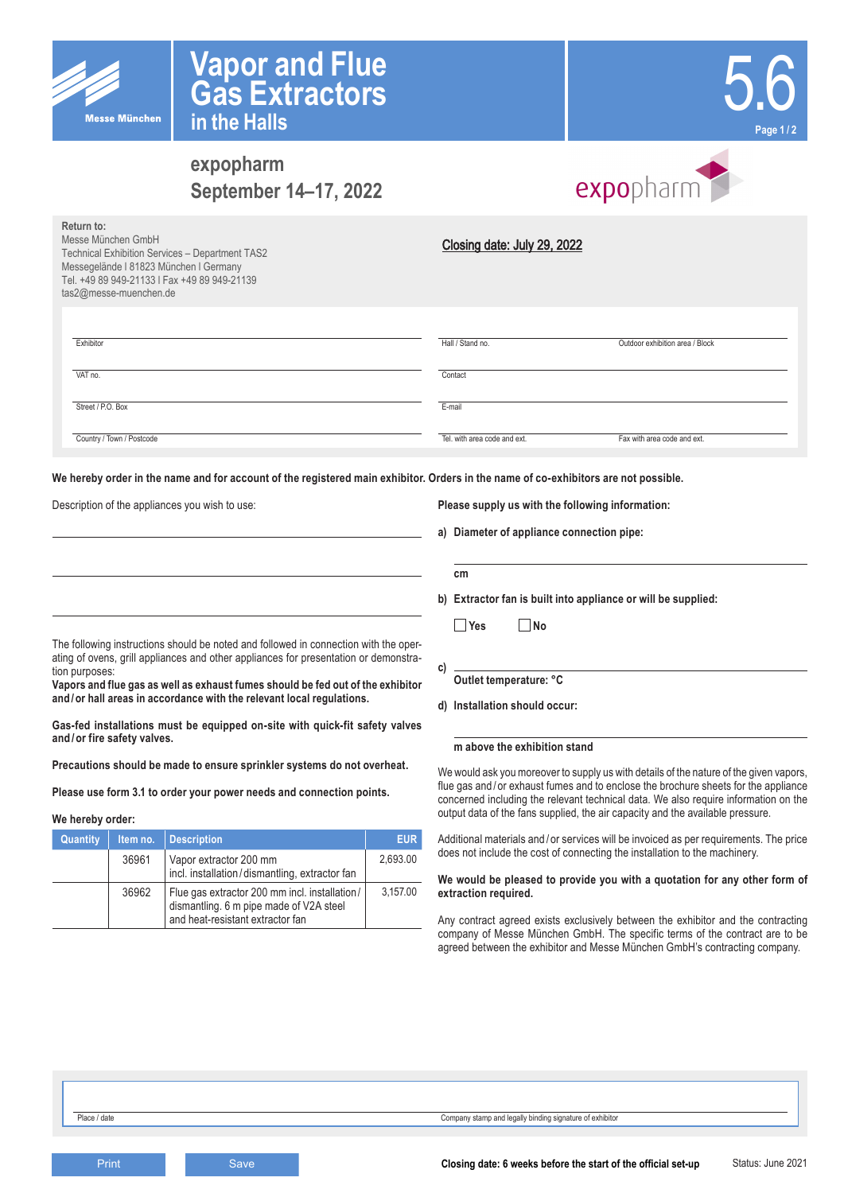

**Return to:**



# **expopharm September 14–17, 2022**

**Vapor and Flue**

**Gas Extractors**

**in the Halls**



| <b>INGLUITILU.</b><br>Messe München GmbH<br>Technical Exhibition Services - Department TAS2<br>Messegelände I 81823 München I Germany<br>Tel. +49 89 949-21133   Fax +49 89 949-21139<br>tas2@messe-muenchen.de | Closing date: July 29, 2022  |                                 |
|-----------------------------------------------------------------------------------------------------------------------------------------------------------------------------------------------------------------|------------------------------|---------------------------------|
| Exhibitor                                                                                                                                                                                                       | Hall / Stand no.             | Outdoor exhibition area / Block |
| VAT no.                                                                                                                                                                                                         | Contact                      |                                 |
| Street / P.O. Box                                                                                                                                                                                               | E-mail                       |                                 |
| Country / Town / Postcode                                                                                                                                                                                       | Tel, with area code and ext. | Fax with area code and ext.     |

**We hereby order in the name and for account of the registered main exhibitor. Orders in the name of co-exhibitors are not possible.**

Description of the appliances you wish to use:

#### **Please supply us with the following information:**

**a) Diameter of appliance connection pipe:**

| ı<br>×<br>. . |
|---------------|

**b) Extractor fan is built into appliance or will be supplied:**

 **Yes No**

The following instructions should be noted and followed in connection with the operating of ovens, grill appliances and other appliances for presentation or demonstration purposes:

**Vapors and flue gas as well as exhaust fumes should be fed out of the exhibitor and/or hall areas in accordance with the relevant local regulations.**

**Gas-fed installations must be equipped on-site with quick-fit safety valves and/or fire safety valves.** 

**Precautions should be made to ensure sprinkler systems do not overheat.** 

**Please use form 3.1 to order your power needs and connection points.**

## **We hereby order:**

| Quantity | Item no. | <b>Description</b>                                                                                                           | EUR.     |
|----------|----------|------------------------------------------------------------------------------------------------------------------------------|----------|
|          | 36961    | Vapor extractor 200 mm<br>incl. installation/dismantling, extractor fan                                                      | 2.693.00 |
|          | 36962    | Flue gas extractor 200 mm incl. installation/<br>dismantling. 6 m pipe made of V2A steel<br>and heat-resistant extractor fan | 3,157.00 |

- **c)**
- **d) Installation should occur:**

#### **m above the exhibition stand**

We would ask you moreover to supply us with details of the nature of the given vapors, flue gas and/or exhaust fumes and to enclose the brochure sheets for the appliance concerned including the relevant technical data. We also require information on the output data of the fans supplied, the air capacity and the available pressure.

Additional materials and/or services will be invoiced as per requirements. The price does not include the cost of connecting the installation to the machinery.

## **We would be pleased to provide you with a quotation for any other form of extraction required.**

Any contract agreed exists exclusively between the exhibitor and the contracting company of Messe München GmbH. The specific terms of the contract are to be agreed between the exhibitor and Messe München GmbH's contracting company.

| Outlet temperature: °C |  |  |
|------------------------|--|--|